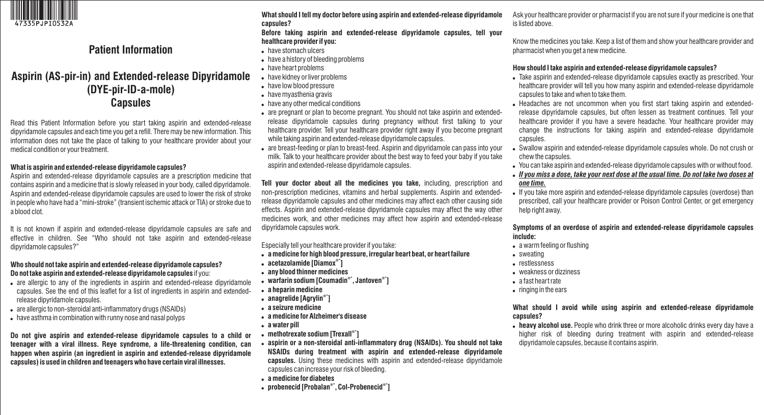

# **Patient Information**

## **Aspirin (AS-pir-in) and Extended-release Dipyridamole (DYE-pir-ID-a-mole) Capsules**

Read this Patient Information before you start taking aspirin and extended-release dipyridamole capsules and each time you get a refill. There may be new information. This information does not take the place of talking to your healthcare provider about your medical condition or your treatment.

#### **What is aspirin and extended-release dipyridamole capsules?**

Aspirin and extended-release dipyridamole capsules are a prescription medicine that contains aspirin and a medicine that is slowly released in your body, called dipyridamole. Aspirin and extended-release dipyridamole capsules are used to lower the risk of stroke in people who have had a "mini-stroke" (transient ischemic attack or TIA) or stroke due to a blood clot.

It is not known if aspirin and extended-release dipyridamole capsules are safe and effective in children. See "Who should not take aspirin and extended-release dipyridamole capsules?"

#### **Who should not take aspirin and extended-release dipyridamole capsules? Do not take aspirin and extended-release dipyridamole capsules** if you:

- are allergic to any of the ingredients in aspirin and extended-release dipyridamole capsules. See the end of this leaflet for a list of ingredients in aspirin and extendedrelease dipyridamole capsules.
- are allergic to non-steroidal anti-inflammatory drugs (NSAIDs)
- have asthma in combination with runny nose and nasal polyps

**Do not give aspirin and extended-release dipyridamole capsules to a child or teenager with a viral illness. Reye syndrome, a life-threatening condition, can happen when aspirin (an ingredient in aspirin and extended-release dipyridamole capsules) is used in children and teenagers who have certain viral illnesses.** 

**What should I tell my doctor before using aspirin and extended-release dipyridamole capsules?** 

**Before taking aspirin and extended-release dipyridamole capsules, tell your healthcare provider if you:** 

- have stomach ulcers
- have a history of bleeding problems
- have heart problems
- have kidney or liver problems
- have low blood pressure
- have myasthenia gravis
- have any other medical conditions
- are pregnant or plan to become pregnant. You should not take aspirin and extendedrelease dipyridamole capsules during pregnancy without first talking to your healthcare provider. Tell your healthcare provider right away if you become pregnant while taking aspirin and extended-release dipyridamole capsules.
- are breast-feeding or plan to breast-feed. Aspirin and dipyridamole can pass into your milk. Talk to your healthcare provider about the best way to feed your baby if you take aspirin and extended-release dipyridamole capsules.

**Tell your doctor about all the medicines you take,** including, prescription and non-prescription medicines, vitamins and herbal supplements. Aspirin and extendedrelease dipyridamole capsules and other medicines may affect each other causing side effects. Aspirin and extended-release dipyridamole capsules may affect the way other medicines work, and other medicines may affect how aspirin and extended-release dipyridamole capsules work.

Especially tell your healthcare provider if you take:

- **a medicine for high blood pressure, irregular heart beat, or heart failure**
- **®\* acetazolamide [Diamox ]**
- **any blood thinner medicines**
- **®\* ®\* warfarin sodium [Coumadin , Jantoven ]**
- **a heparin medicine**
- **®\* anagrelide [Agrylin ]**
- **a seizure medicine**
- **a medicine for Alzheimer's disease**
- **a water pill**
- **®\* methotrexate sodium [Trexall ]**
- **aspirin or a non-steroidal anti-inflammatory drug (NSAIDs). You should not take NSAIDs during treatment with aspirin and extended-release dipyridamole capsules.** Using these medicines with aspirin and extended-release dipyridamole capsules can increase your risk of bleeding.
- **a medicine for diabetes**
- **®\* ®\* probenecid [Probalan , Col-Probenecid ]**

Ask your healthcare provider or pharmacist if you are not sure if your medicine is one that is listed above.

Know the medicines you take. Keep a list of them and show your healthcare provider and pharmacist when you get a new medicine.

## **How should I take aspirin and extended-release dipyridamole capsules?**

- Take aspirin and extended-release dipyridamole capsules exactly as prescribed. Your healthcare provider will tell you how many aspirin and extended-release dipyridamole capsules to take and when to take them.
- Headaches are not uncommon when you first start taking aspirin and extendedrelease dipyridamole capsules, but often lessen as treatment continues. Tell your healthcare provider if you have a severe headache. Your healthcare provider may change the instructions for taking aspirin and extended-release dipyridamole capsules.
- Swallow aspirin and extended-release dipyridamole capsules whole. Do not crush or chew the capsules.
- You can take aspirin and extended-release dipyridamole capsules with or without food.
- *If you miss a dose, take your next dose at the usual time. Do not take two doses at one time.*
- If you take more aspirin and extended-release dipyridamole capsules (overdose) than prescribed, call your healthcare provider or Poison Control Center, or get emergency help right away.

**Symptoms of an overdose of aspirin and extended-release dipyridamole capsules include:** 

- a warm feeling or flushing
- sweating
- restlessness
- weakness or dizziness
- a fast heart rate
- ringing in the ears

**What should I avoid while using aspirin and extended-release dipyridamole capsules?** 

 **heavy alcohol use.** People who drink three or more alcoholic drinks every day have a higher risk of bleeding during treatment with aspirin and extended-release dipyridamole capsules, because it contains aspirin.